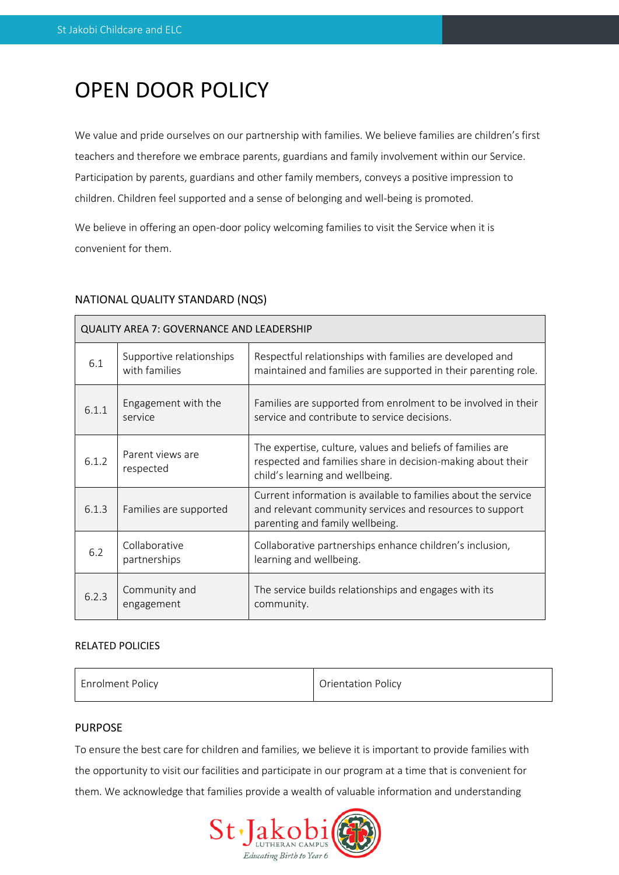# OPEN DOOR POLICY

We value and pride ourselves on our partnership with families. We believe families are children's first teachers and therefore we embrace parents, guardians and family involvement within our Service. Participation by parents, guardians and other family members, conveys a positive impression to children. Children feel supported and a sense of belonging and well-being is promoted.

We believe in offering an open-door policy welcoming families to visit the Service when it is convenient for them.

# NATIONAL QUALITY STANDARD (NQS)

| <b>QUALITY AREA 7: GOVERNANCE AND LEADERSHIP</b> |                                           |                                                                                                                                                               |  |  |
|--------------------------------------------------|-------------------------------------------|---------------------------------------------------------------------------------------------------------------------------------------------------------------|--|--|
| 6.1                                              | Supportive relationships<br>with families | Respectful relationships with families are developed and<br>maintained and families are supported in their parenting role.                                    |  |  |
| 6.1.1                                            | Engagement with the<br>service            | Families are supported from enrolment to be involved in their<br>service and contribute to service decisions.                                                 |  |  |
| 6.1.2                                            | Parent views are<br>respected             | The expertise, culture, values and beliefs of families are<br>respected and families share in decision-making about their<br>child's learning and wellbeing.  |  |  |
| 6.1.3                                            | Families are supported                    | Current information is available to families about the service<br>and relevant community services and resources to support<br>parenting and family wellbeing. |  |  |
| 6.2                                              | Collaborative<br>partnerships             | Collaborative partnerships enhance children's inclusion,<br>learning and wellbeing.                                                                           |  |  |
| 6.2.3                                            | Community and<br>engagement               | The service builds relationships and engages with its<br>community.                                                                                           |  |  |

## RELATED POLICIES

| <b>Enrolment Policy</b> | <b>Orientation Policy</b> |
|-------------------------|---------------------------|
|                         |                           |

## PURPOSE

To ensure the best care for children and families, we believe it is important to provide families with the opportunity to visit our facilities and participate in our program at a time that is convenient for them. We acknowledge that families provide a wealth of valuable information and understanding

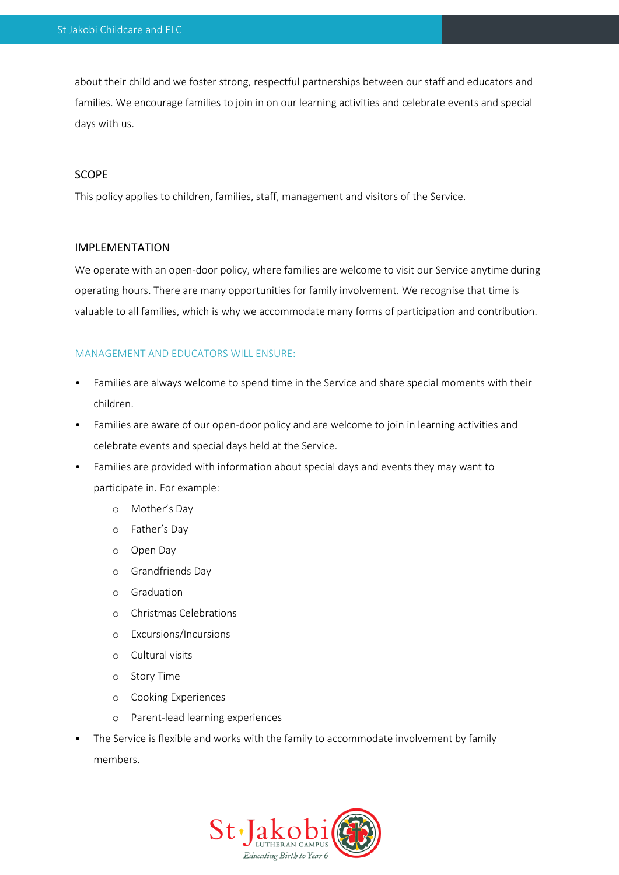about their child and we foster strong, respectful partnerships between our staff and educators and families. We encourage families to join in on our learning activities and celebrate events and special days with us.

#### SCOPE

This policy applies to children, families, staff, management and visitors of the Service.

#### IMPLEMENTATION

We operate with an open-door policy, where families are welcome to visit our Service anytime during operating hours. There are many opportunities for family involvement. We recognise that time is valuable to all families, which is why we accommodate many forms of participation and contribution.

#### MANAGEMENT AND EDUCATORS WILL ENSURE:

- Families are always welcome to spend time in the Service and share special moments with their children.
- Families are aware of our open-door policy and are welcome to join in learning activities and celebrate events and special days held at the Service.
- Families are provided with information about special days and events they may want to participate in. For example:
	- o Mother's Day
	- o Father's Day
	- o Open Day
	- o Grandfriends Day
	- o Graduation
	- o Christmas Celebrations
	- o Excursions/Incursions
	- o Cultural visits
	- o Story Time
	- o Cooking Experiences
	- o Parent-lead learning experiences
- The Service is flexible and works with the family to accommodate involvement by family members.

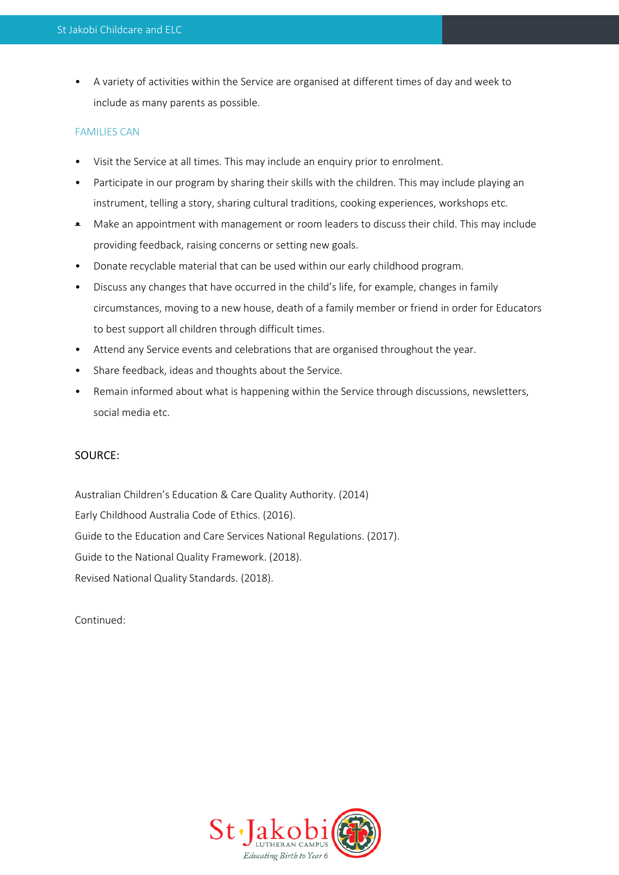• A variety of activities within the Service are organised at different times of day and week to include as many parents as possible.

### FAMILIES CAN

- Visit the Service at all times. This may include an enquiry prior to enrolment.
- Participate in our program by sharing their skills with the children. This may include playing an instrument, telling a story, sharing cultural traditions, cooking experiences, workshops etc.
- Make an appointment with management or room leaders to discuss their child. This may include providing feedback, raising concerns or setting new goals.
- Donate recyclable material that can be used within our early childhood program.
- Discuss any changes that have occurred in the child's life, for example, changes in family circumstances, moving to a new house, death of a family member or friend in order for Educators to best support all children through difficult times.
- Attend any Service events and celebrations that are organised throughout the year.
- Share feedback, ideas and thoughts about the Service.
- Remain informed about what is happening within the Service through discussions, newsletters, social media etc.

## SOURCE:

Australian Children's Education & Care Quality Authority. (2014) Early Childhood Australia Code of Ethics. (2016). Guide to the Education and Care Services National Regulations. (2017). Guide to the National Quality Framework. (2018). Revised National Quality Standards. (2018).

Continued: